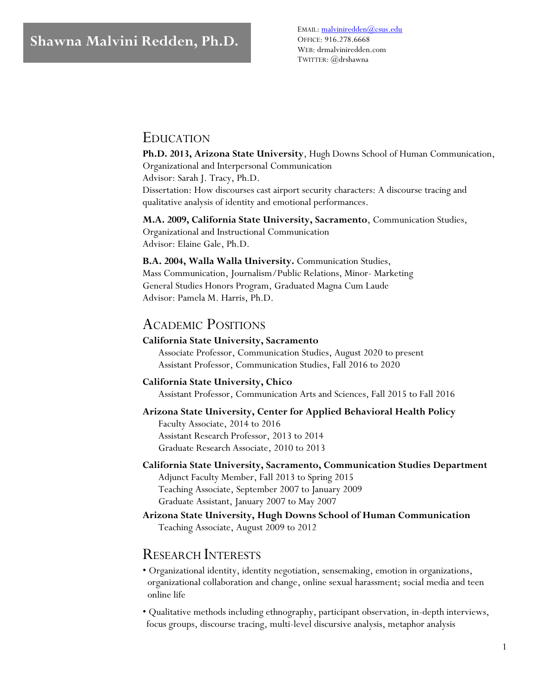EMAIL[: malviniredden@csus.edu](mailto:malviniredden@csus.edu) OFFICE: 916.278.6668 WEB: drmalviniredden.com TWITTER: @drshawna

### EDUCATION

**Ph.D. 2013, Arizona State University**, Hugh Downs School of Human Communication, Organizational and Interpersonal Communication Advisor: Sarah J. Tracy, Ph.D.

Dissertation: How discourses cast airport security characters: A discourse tracing and qualitative analysis of identity and emotional performances.

**M.A. 2009, California State University, Sacramento**, Communication Studies, Organizational and Instructional Communication Advisor: Elaine Gale, Ph.D.

**B.A. 2004, Walla Walla University.** Communication Studies, Mass Communication, Journalism/Public Relations, Minor- Marketing General Studies Honors Program, Graduated Magna Cum Laude Advisor: Pamela M. Harris, Ph.D.

### ACADEMIC POSITIONS

#### **California State University, Sacramento**

Associate Professor, Communication Studies, August 2020 to present Assistant Professor, Communication Studies, Fall 2016 to 2020

#### **California State University, Chico**

Assistant Professor, Communication Arts and Sciences, Fall 2015 to Fall 2016

**Arizona State University, Center for Applied Behavioral Health Policy** Faculty Associate, 2014 to 2016

Assistant Research Professor, 2013 to 2014 Graduate Research Associate, 2010 to 2013

**California State University, Sacramento, Communication Studies Department** Adjunct Faculty Member, Fall 2013 to Spring 2015 Teaching Associate, September 2007 to January 2009 Graduate Assistant, January 2007 to May 2007

**Arizona State University, Hugh Downs School of Human Communication** Teaching Associate, August 2009 to 2012

### RESEARCH INTERESTS

- Organizational identity, identity negotiation, sensemaking, emotion in organizations, organizational collaboration and change, online sexual harassment; social media and teen online life
- Qualitative methods including ethnography, participant observation, in-depth interviews, focus groups, discourse tracing, multi-level discursive analysis, metaphor analysis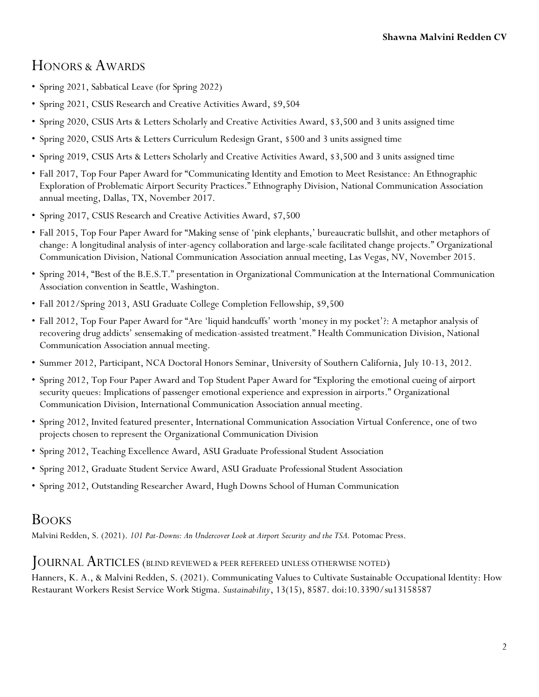# HONORS & AWARDS

- Spring 2021, Sabbatical Leave (for Spring 2022)
- Spring 2021, CSUS Research and Creative Activities Award, \$9,504
- Spring 2020, CSUS Arts & Letters Scholarly and Creative Activities Award, \$3,500 and 3 units assigned time
- Spring 2020, CSUS Arts & Letters Curriculum Redesign Grant, \$500 and 3 units assigned time
- Spring 2019, CSUS Arts & Letters Scholarly and Creative Activities Award, \$3,500 and 3 units assigned time
- Fall 2017, Top Four Paper Award for "Communicating Identity and Emotion to Meet Resistance: An Ethnographic Exploration of Problematic Airport Security Practices." Ethnography Division, National Communication Association annual meeting, Dallas, TX, November 2017.
- Spring 2017, CSUS Research and Creative Activities Award, \$7,500
- Fall 2015, Top Four Paper Award for "Making sense of 'pink elephants,' bureaucratic bullshit, and other metaphors of change: A longitudinal analysis of inter-agency collaboration and large-scale facilitated change projects." Organizational Communication Division, National Communication Association annual meeting, Las Vegas, NV, November 2015.
- Spring 2014, "Best of the B.E.S.T." presentation in Organizational Communication at the International Communication Association convention in Seattle, Washington.
- Fall 2012/Spring 2013, ASU Graduate College Completion Fellowship, \$9,500
- Fall 2012, Top Four Paper Award for "Are 'liquid handcuffs' worth 'money in my pocket'?: A metaphor analysis of recovering drug addicts' sensemaking of medication-assisted treatment." Health Communication Division, National Communication Association annual meeting.
- Summer 2012, Participant, NCA Doctoral Honors Seminar, University of Southern California, July 10-13, 2012.
- Spring 2012, Top Four Paper Award and Top Student Paper Award for "Exploring the emotional cueing of airport security queues: Implications of passenger emotional experience and expression in airports." Organizational Communication Division, International Communication Association annual meeting.
- Spring 2012, Invited featured presenter, International Communication Association Virtual Conference, one of two projects chosen to represent the Organizational Communication Division
- Spring 2012, Teaching Excellence Award, ASU Graduate Professional Student Association
- Spring 2012, Graduate Student Service Award, ASU Graduate Professional Student Association
- Spring 2012, Outstanding Researcher Award, Hugh Downs School of Human Communication

## BOOKS

Malvini Redden, S. (2021). *101 Pat-Downs: An Undercover Look at Airport Security and the TSA.* Potomac Press.

### JOURNAL ARTICLES (BLIND REVIEWED & PEER REFEREED UNLESS OTHERWISE NOTED)

Hanners, K. A., & Malvini Redden, S. (2021). Communicating Values to Cultivate Sustainable Occupational Identity: How Restaurant Workers Resist Service Work Stigma. *Sustainability*, 13(15), 8587. doi:10.3390/su13158587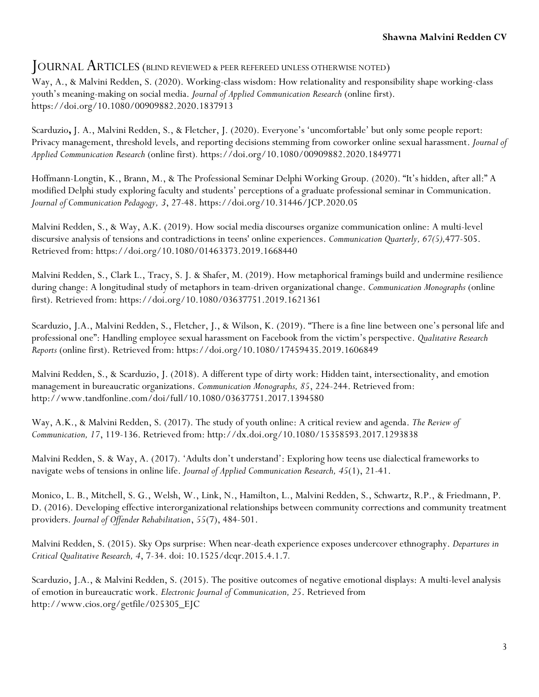### JOURNAL ARTICLES (BLIND REVIEWED & PEER REFEREED UNLESS OTHERWISE NOTED)

Way, A., & Malvini Redden, S. (2020). Working-class wisdom: How relationality and responsibility shape working-class youth's meaning-making on social media. *Journal of Applied Communication Research* (online first). https://doi.org/10.1080/00909882.2020.1837913

Scarduzio**,** J. A., Malvini Redden, S., & Fletcher, J. (2020). Everyone's 'uncomfortable' but only some people report: Privacy management, threshold levels, and reporting decisions stemming from coworker online sexual harassment. *Journal of Applied Communication Research* (online first)*.* https://doi.org[/10.1080/00909882.2020.1849771](https://doi.org/10.1080/00909882.2020.1849771)

Hoffmann-Longtin, K., Brann, M., & The Professional Seminar Delphi Working Group. (2020). "It's hidden, after all:" A modified Delphi study exploring faculty and students' perceptions of a graduate professional seminar in Communication. *Journal of Communication Pedagogy, 3*, 27-48. https://doi.org/10.31446/JCP.2020.05

Malvini Redden, S., & Way, A.K. (2019). How social media discourses organize communication online: A multi-level discursive analysis of tensions and contradictions in teens' online experiences. *Communication Quarterly, 67(5),*477-505. Retrieved from: https://doi.org/10.1080/01463373.2019.1668440

Malvini Redden, S., Clark L., Tracy, S. J. & Shafer, M. (2019). How metaphorical framings build and undermine resilience during change: A longitudinal study of metaphors in team-driven organizational change. *Communication Monographs* (online first). Retrieved from: https://doi.org/10.1080/03637751.2019.1621361

Scarduzio, J.A., Malvini Redden, S., Fletcher, J., & Wilson, K. (2019). "There is a fine line between one's personal life and professional one": Handling employee sexual harassment on Facebook from the victim's perspective. *Qualitative Research Reports* (online first). Retrieved from: https://doi.org/10.1080/17459435.2019.1606849

Malvini Redden, S., & Scarduzio, J. (2018). A different type of dirty work: Hidden taint, intersectionality, and emotion management in bureaucratic organizations. *Communication Monographs, 85*, 224-244. Retrieved from: http://www.tandfonline.com/doi/full/10.1080/03637751.2017.1394580

Way, A.K., & Malvini Redden, S. (2017). The study of youth online: A critical review and agenda. *The Review of Communication, 17*, 119-136. Retrieved from: http://dx.doi.org/10.1080/15358593.2017.1293838

Malvini Redden, S. & Way, A. (2017). 'Adults don't understand': Exploring how teens use dialectical frameworks to navigate webs of tensions in online life. *Journal of Applied Communication Research, 45*(1), 21-41.

Monico, L. B., Mitchell, S. G., Welsh, W., Link, N., Hamilton, L., Malvini Redden, S., Schwartz, R.P., & Friedmann, P. D. (2016). Developing effective interorganizational relationships between community corrections and community treatment providers. *Journal of Offender Rehabilitation*, *55*(7), 484-501.

Malvini Redden, S. (2015). Sky Ops surprise: When near-death experience exposes undercover ethnography. *Departures in Critical Qualitative Research, 4*, 7-34. doi: 10.1525/dcqr.2015.4.1.7*.*

Scarduzio, J.A., & Malvini Redden, S. (2015). The positive outcomes of negative emotional displays: A multi-level analysis of emotion in bureaucratic work. *Electronic Journal of Communication, 25*. Retrieved from http://www.cios.org/getfile/025305\_EJC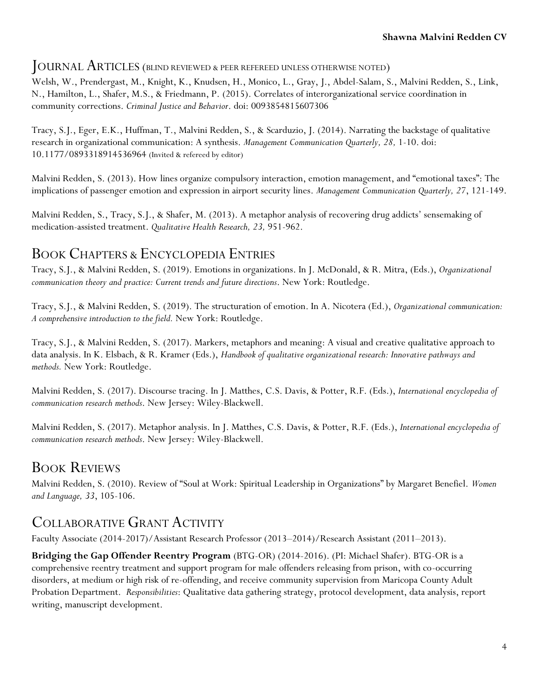### JOURNAL ARTICLES (BLIND REVIEWED & PEER REFEREED UNLESS OTHERWISE NOTED)

Welsh, W., Prendergast, M., Knight, K., Knudsen, H., Monico, L., Gray, J., Abdel-Salam, S., Malvini Redden, S., Link, N., Hamilton, L., Shafer, M.S., & Friedmann, P. (2015). Correlates of interorganizational service coordination in community corrections. *Criminal Justice and Behavior*. doi: 0093854815607306

Tracy, S.J., Eger, E.K., Huffman, T., Malvini Redden, S., & Scarduzio, J. (2014). Narrating the backstage of qualitative research in organizational communication: A synthesis. *Management Communication Quarterly, 28,* 1-10. doi: 10.1177/0893318914536964 (Invited & refereed by editor)

Malvini Redden, S. (2013). How lines organize compulsory interaction, emotion management, and "emotional taxes": The implications of passenger emotion and expression in airport security lines. *Management Communication Quarterly, 27*, 121-149.

Malvini Redden, S., Tracy, S.J., & Shafer, M. (2013). A metaphor analysis of recovering drug addicts' sensemaking of medication-assisted treatment. *Qualitative Health Research, 23,* 951-962.

## BOOK CHAPTERS & ENCYCLOPEDIA ENTRIES

Tracy, S.J., & Malvini Redden, S. (2019). Emotions in organizations. In J. McDonald, & R. Mitra, (Eds.), *Organizational communication theory and practice: Current trends and future directions*. New York: Routledge.

Tracy, S.J., & Malvini Redden, S. (2019). The structuration of emotion. In A. Nicotera (Ed.), *Organizational communication: A comprehensive introduction to the field.* New York: Routledge.

Tracy, S.J., & Malvini Redden, S. (2017). Markers, metaphors and meaning: A visual and creative qualitative approach to data analysis. In K. Elsbach, & R. Kramer (Eds.), *Handbook of qualitative organizational research: Innovative pathways and methods.* New York: Routledge.

Malvini Redden, S. (2017). Discourse tracing. In J. Matthes, C.S. Davis, & Potter, R.F. (Eds.), *International encyclopedia of communication research methods*. New Jersey: Wiley-Blackwell.

Malvini Redden, S. (2017). Metaphor analysis. In J. Matthes, C.S. Davis, & Potter, R.F. (Eds.), *International encyclopedia of communication research methods*. New Jersey: Wiley-Blackwell.

## BOOK REVIEWS

Malvini Redden, S. (2010). Review of "Soul at Work: Spiritual Leadership in Organizations" by Margaret Benefiel. *Women and Language, 33*, 105-106.

# COLLABORATIVE GRANT ACTIVITY

Faculty Associate (2014-2017)/Assistant Research Professor (2013–2014)/Research Assistant (2011–2013).

**Bridging the Gap Offender Reentry Program** (BTG-OR) (2014-2016). (PI: Michael Shafer). BTG-OR is a comprehensive reentry treatment and support program for male offenders releasing from prison, with co-occurring disorders, at medium or high risk of re-offending, and receive community supervision from Maricopa County Adult Probation Department. *Responsibilities*: Qualitative data gathering strategy, protocol development, data analysis, report writing, manuscript development.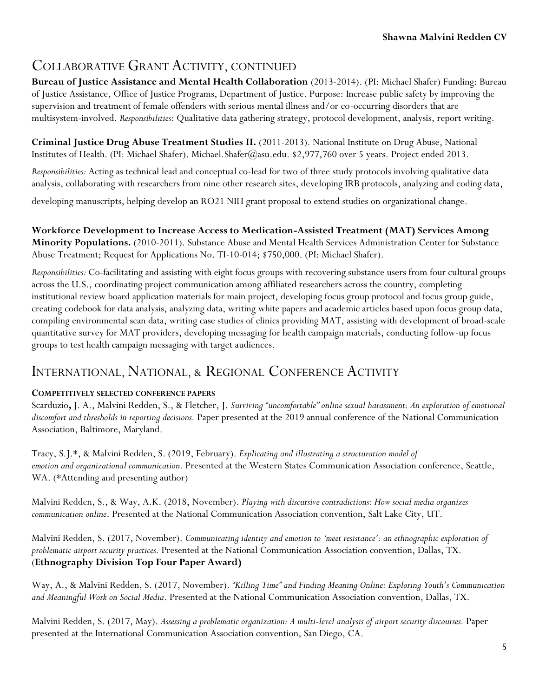# COLLABORATIVE GRANT ACTIVITY, CONTINUED

**Bureau of Justice Assistance and Mental Health Collaboration** (2013-2014). (PI: Michael Shafer) Funding: Bureau of Justice Assistance, Office of Justice Programs, Department of Justice. Purpose: Increase public safety by improving the supervision and treatment of female offenders with serious mental illness and/or co-occurring disorders that are multisystem-involved. *Responsibilities*: Qualitative data gathering strategy, protocol development, analysis, report writing.

**Criminal Justice Drug Abuse Treatment Studies II.** (2011-2013). National Institute on Drug Abuse, National Institutes of Health. (PI: Michael Shafer). Michael.Shafer@asu.edu. \$2,977,760 over 5 years. Project ended 2013.

*Responsibilities:* Acting as technical lead and conceptual co-lead for two of three study protocols involving qualitative data analysis, collaborating with researchers from nine other research sites, developing IRB protocols, analyzing and coding data,

developing manuscripts, helping develop an RO21 NIH grant proposal to extend studies on organizational change.

**Workforce Development to Increase Access to Medication-Assisted Treatment (MAT) Services Among Minority Populations.** (2010-2011). Substance Abuse and Mental Health Services Administration Center for Substance Abuse Treatment; Request for Applications No. TI-10-014; \$750,000. (PI: Michael Shafer).

*Responsibilities:* Co-facilitating and assisting with eight focus groups with recovering substance users from four cultural groups across the U.S., coordinating project communication among affiliated researchers across the country, completing institutional review board application materials for main project, developing focus group protocol and focus group guide, creating codebook for data analysis, analyzing data, writing white papers and academic articles based upon focus group data, compiling environmental scan data, writing case studies of clinics providing MAT, assisting with development of broad-scale quantitative survey for MAT providers, developing messaging for health campaign materials, conducting follow-up focus groups to test health campaign messaging with target audiences.

## INTERNATIONAL, NATIONAL, & REGIONAL CONFERENCE ACTIVITY

#### **COMPETITIVELY SELECTED CONFERENCE PAPERS**

Scarduzio**,** J. A., Malvini Redden, S., & Fletcher, J. *Surviving "uncomfortable" online sexual harassment: An exploration of emotional discomfort and thresholds in reporting decisions.* Paper presented at the 2019 annual conference of the National Communication Association, Baltimore, Maryland.

Tracy, S.J.\*, & Malvini Redden, S. (2019, February). *Explicating and illustrating a structuration model of emotion and organizational communication.* Presented at the Western States Communication Association conference, Seattle, WA. (\*Attending and presenting author)

Malvini Redden, S., & Way, A.K. (2018, November). *Playing with discursive contradictions: How social media organizes communication online*. Presented at the National Communication Association convention, Salt Lake City, UT.

Malvini Redden, S. (2017, November). *Communicating identity and emotion to 'meet resistance': an ethnographic exploration of problematic airport security practices.* Presented at the National Communication Association convention, Dallas, TX. (**Ethnography Division Top Four Paper Award)**

Way, A., & Malvini Redden, S. (2017, November). *"Killing Time" and Finding Meaning Online: Exploring Youth's Communication and Meaningful Work on Social Media*. Presented at the National Communication Association convention, Dallas, TX.

Malvini Redden, S. (2017, May). *Assessing a problematic organization: A multi-level analysis of airport security discourses.* Paper presented at the International Communication Association convention, San Diego, CA.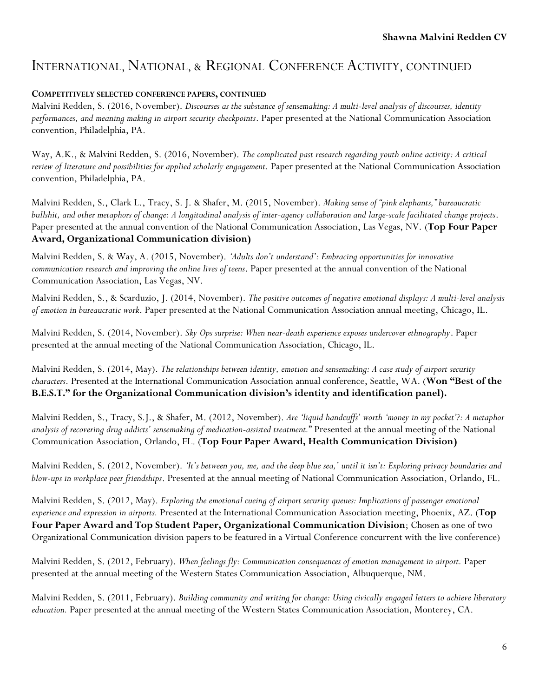#### **COMPETITIVELY SELECTED CONFERENCE PAPERS, CONTINUED**

Malvini Redden, S. (2016, November). *Discourses as the substance of sensemaking: A multi-level analysis of discourses, identity performances, and meaning making in airport security checkpoints*. Paper presented at the National Communication Association convention, Philadelphia, PA.

Way, A.K., & Malvini Redden, S. (2016, November). *The complicated past research regarding youth online activity: A critical review of literature and possibilities for applied scholarly engagement.* Paper presented at the National Communication Association convention, Philadelphia, PA.

Malvini Redden, S., Clark L., Tracy, S. J. & Shafer, M. (2015, November). *Making sense of "pink elephants," bureaucratic bullshit, and other metaphors of change: A longitudinal analysis of inter-agency collaboration and large-scale facilitated change projects*. Paper presented at the annual convention of the National Communication Association, Las Vegas, NV. (**Top Four Paper Award, Organizational Communication division)**

Malvini Redden, S. & Way, A. (2015, November). *'Adults don't understand': Embracing opportunities for innovative communication research and improving the online lives of teens*. Paper presented at the annual convention of the National Communication Association, Las Vegas, NV.

Malvini Redden, S., & Scarduzio, J. (2014, November). *The positive outcomes of negative emotional displays: A multi-level analysis of emotion in bureaucratic work*. Paper presented at the National Communication Association annual meeting, Chicago, IL.

Malvini Redden, S. (2014, November). *Sky Ops surprise: When near-death experience exposes undercover ethnography*. Paper presented at the annual meeting of the National Communication Association, Chicago, IL.

Malvini Redden, S. (2014, May). *The relationships between identity, emotion and sensemaking: A case study of airport security characters*. Presented at the International Communication Association annual conference, Seattle, WA. (**Won "Best of the B.E.S.T." for the Organizational Communication division's identity and identification panel).**

Malvini Redden, S., Tracy, S.J., & Shafer, M. (2012, November). *Are 'liquid handcuffs' worth 'money in my pocket'?: A metaphor analysis of recovering drug addicts' sensemaking of medication-assisted treatment.*" Presented at the annual meeting of the National Communication Association, Orlando, FL. (**Top Four Paper Award, Health Communication Division)**

Malvini Redden, S. (2012, November). *'It's between you, me, and the deep blue sea,' until it isn't: Exploring privacy boundaries and blow-ups in workplace peer friendships*. Presented at the annual meeting of National Communication Association, Orlando, FL.

Malvini Redden, S. (2012, May). *Exploring the emotional cueing of airport security queues: Implications of passenger emotional experience and expression in airports.* Presented at the International Communication Association meeting, Phoenix, AZ. (**Top Four Paper Award and Top Student Paper, Organizational Communication Division**; Chosen as one of two Organizational Communication division papers to be featured in a Virtual Conference concurrent with the live conference)

Malvini Redden, S. (2012, February). *When feelings fly: Communication consequences of emotion management in airport.* Paper presented at the annual meeting of the Western States Communication Association, Albuquerque, NM.

Malvini Redden, S. (2011, February). *Building community and writing for change: Using civically engaged letters to achieve liberatory education.* Paper presented at the annual meeting of the Western States Communication Association, Monterey, CA.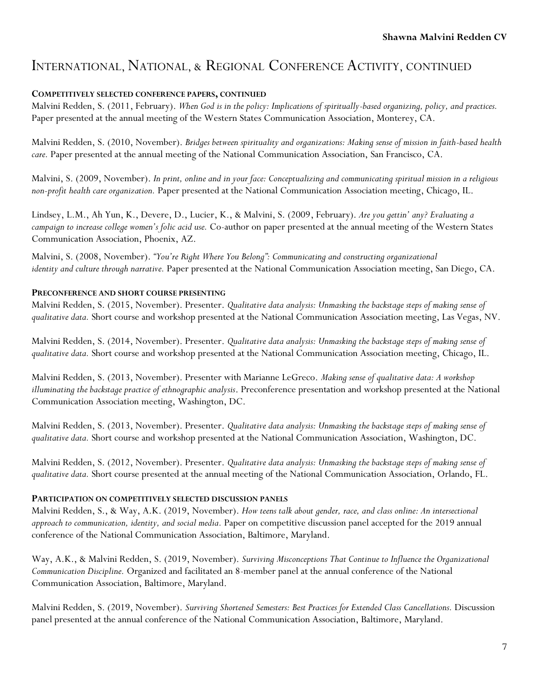#### **COMPETITIVELY SELECTED CONFERENCE PAPERS, CONTINUED**

Malvini Redden, S. (2011, February). *When God is in the policy: Implications of spiritually-based organizing, policy, and practices.* Paper presented at the annual meeting of the Western States Communication Association, Monterey, CA.

Malvini Redden, S. (2010, November). *Bridges between spirituality and organizations: Making sense of mission in faith-based health care.* Paper presented at the annual meeting of the National Communication Association, San Francisco, CA.

Malvini, S. (2009, November). *In print, online and in your face: Conceptualizing and communicating spiritual mission in a religious non-profit health care organization.* Paper presented at the National Communication Association meeting, Chicago, IL.

Lindsey, L.M., Ah Yun, K., Devere, D., Lucier, K., & Malvini, S. (2009, February). *Are you gettin' any? Evaluating a campaign to increase college women's folic acid use.* Co-author on paper presented at the annual meeting of the Western States Communication Association, Phoenix, AZ.

Malvini, S. (2008, November). *"You're Right Where You Belong": Communicating and constructing organizational identity and culture through narrative.* Paper presented at the National Communication Association meeting, San Diego, CA.

#### **PRECONFERENCE AND SHORT COURSE PRESENTING**

Malvini Redden, S. (2015, November). Presenter. *Qualitative data analysis: Unmasking the backstage steps of making sense of qualitative data.* Short course and workshop presented at the National Communication Association meeting, Las Vegas, NV.

Malvini Redden, S. (2014, November). Presenter. *Qualitative data analysis: Unmasking the backstage steps of making sense of qualitative data.* Short course and workshop presented at the National Communication Association meeting, Chicago, IL.

Malvini Redden, S. (2013, November). Presenter with Marianne LeGreco. *Making sense of qualitative data: A workshop illuminating the backstage practice of ethnographic analysis*. Preconference presentation and workshop presented at the National Communication Association meeting, Washington, DC.

Malvini Redden, S. (2013, November). Presenter. *Qualitative data analysis: Unmasking the backstage steps of making sense of qualitative data.* Short course and workshop presented at the National Communication Association, Washington, DC.

Malvini Redden, S. (2012, November). Presenter. *Qualitative data analysis: Unmasking the backstage steps of making sense of qualitative data.* Short course presented at the annual meeting of the National Communication Association, Orlando, FL.

#### **PARTICIPATION ON COMPETITIVELY SELECTED DISCUSSION PANELS**

Malvini Redden, S., & Way, A.K. (2019, November). *How teens talk about gender, race, and class online: An intersectional approach to communication, identity, and social media.* Paper on competitive discussion panel accepted for the 2019 annual conference of the National Communication Association, Baltimore, Maryland.

Way, A.K., & Malvini Redden, S. (2019, November). *Surviving Misconceptions That Continue to Influence the Organizational Communication Discipline.* Organized and facilitated an 8-member panel at the annual conference of the National Communication Association, Baltimore, Maryland.

Malvini Redden, S. (2019, November). *Surviving Shortened Semesters: Best Practices for Extended Class Cancellations.* Discussion panel presented at the annual conference of the National Communication Association, Baltimore, Maryland.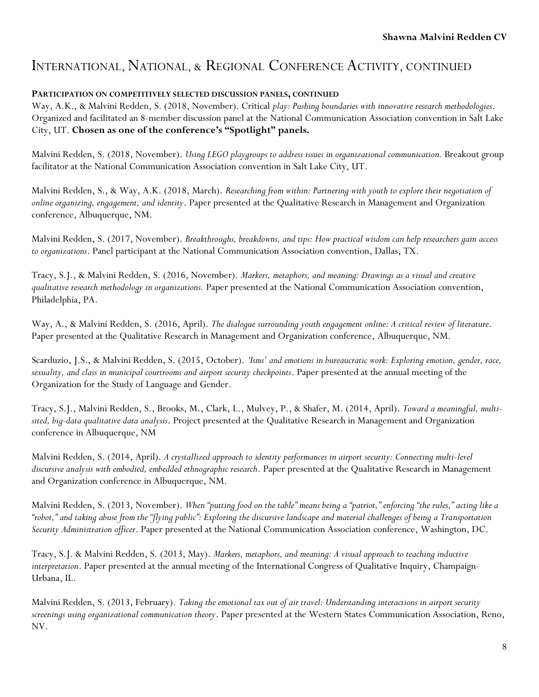#### **PARTICIPATION ON COMPETITIVELY SELECTED DISCUSSION PANELS, CONTINUED**

Way, A.K., & Malvini Redden, S. (2018, November). Critical *play: Pushing boundaries with innovative research methodologies*. Organized and facilitated an 8-member discussion panel at the National Communication Association convention in Salt Lake City, UT. **Chosen as one of the conference's "Spotlight" panels.**

Malvini Redden, S. (2018, November). *Using LEGO playgroups to address issues in organizational communication.* Breakout group facilitator at the National Communication Association convention in Salt Lake City, UT.

Malvini Redden, S., & Way, A.K. (2018, March). *Researching from within: Partnering with youth to explore their negotiation of online organizing, engagement, and identity*. Paper presented at the Qualitative Research in Management and Organization conference, Albuquerque, NM.

Malvini Redden, S. (2017, November). *Breakthroughs, breakdowns, and tips: How practical wisdom can help researchers gain access to organizations*. Panel participant at the National Communication Association convention, Dallas, TX.

Tracy, S.J., & Malvini Redden, S. (2016, November). *Markers, metaphors, and meaning: Drawings as a visual and creative qualitative research methodology in organizations.* Paper presented at the National Communication Association convention, Philadelphia, PA.

Way, A., & Malvini Redden, S. (2016, April). *The dialogue surrounding youth engagement online: A critical review of literature*. Paper presented at the Qualitative Research in Management and Organization conference, Albuquerque, NM.

Scarduzio, J.S., & Malvini Redden, S. (2015, October). *'Isms' and emotions in bureaucratic work: Exploring emotion, gender, race, sexuality, and class in municipal courtrooms and airport security checkpoints*. Paper presented at the annual meeting of the Organization for the Study of Language and Gender.

Tracy, S.J., Malvini Redden, S., Brooks, M., Clark, L., Mulvey, P., & Shafer, M. (2014, April). *Toward a meaningful, multisited, big-data qualitative data analysis*. Project presented at the Qualitative Research in Management and Organization conference in Albuquerque, NM

Malvini Redden, S. (2014, April). *A crystallized approach to identity performances in airport security: Connecting multi-level discursive analysis with embodied, embedded ethnographic research*. Paper presented at the Qualitative Research in Management and Organization conference in Albuquerque, NM.

Malvini Redden, S. (2013, November). *When "putting food on the table" means being a "patriot," enforcing "the rules," acting like a "robot," and taking abuse from the "flying public": Exploring the discursive landscape and material challenges of being a Transportation Security Administration officer*. Paper presented at the National Communication Association conference, Washington, DC.

Tracy, S.J. & Malvini Redden, S. (2013, May). *Markers, metaphors, and meaning: A visual approach to teaching inductive interpretation*. Paper presented at the annual meeting of the International Congress of Qualitative Inquiry, Champaign-Urbana, IL.

Malvini Redden, S. (2013, February). *Taking the emotional tax out of air travel: Understanding interactions in airport security screenings using organizational communication theory*. Paper presented at the Western States Communication Association, Reno, NV.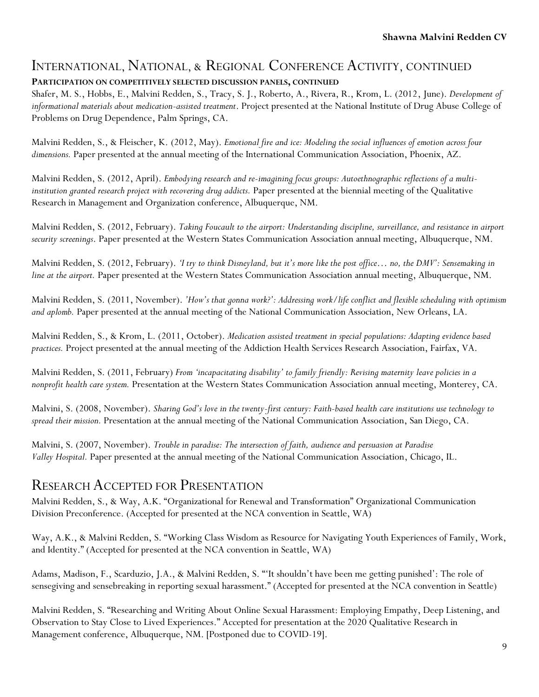### **PARTICIPATION ON COMPETITIVELY SELECTED DISCUSSION PANELS, CONTINUED**

Shafer, M. S., Hobbs, E., Malvini Redden, S., Tracy, S. J., Roberto, A., Rivera, R., Krom, L. (2012, June). *Development of informational materials about medication-assisted treatment*. Project presented at the National Institute of Drug Abuse College of Problems on Drug Dependence, Palm Springs, CA.

Malvini Redden, S., & Fleischer, K. (2012, May). *Emotional fire and ice: Modeling the social influences of emotion across four dimensions.* Paper presented at the annual meeting of the International Communication Association, Phoenix, AZ.

Malvini Redden, S. (2012, April). *Embodying research and re-imagining focus groups: Autoethnographic reflections of a multiinstitution granted research project with recovering drug addicts.* Paper presented at the biennial meeting of the Qualitative Research in Management and Organization conference, Albuquerque, NM.

Malvini Redden, S. (2012, February). *Taking Foucault to the airport: Understanding discipline, surveillance, and resistance in airport security screenings*. Paper presented at the Western States Communication Association annual meeting, Albuquerque, NM.

Malvini Redden, S. (2012, February). *'I try to think Disneyland, but it's more like the post office… no, the DMV': Sensemaking in line at the airport.* Paper presented at the Western States Communication Association annual meeting, Albuquerque, NM.

Malvini Redden, S. (2011, November). *'How's that gonna work?': Addressing work/life conflict and flexible scheduling with optimism and aplomb.* Paper presented at the annual meeting of the National Communication Association, New Orleans, LA.

Malvini Redden, S., & Krom, L. (2011, October). *Medication assisted treatment in special populations: Adapting evidence based practices.* Project presented at the annual meeting of the Addiction Health Services Research Association, Fairfax, VA.

Malvini Redden, S. (2011, February) *From 'incapacitating disability' to family friendly: Revising maternity leave policies in a nonprofit health care system.* Presentation at the Western States Communication Association annual meeting, Monterey, CA.

Malvini, S. (2008, November). *Sharing God's love in the twenty-first century: Faith-based health care institutions use technology to spread their mission.* Presentation at the annual meeting of the National Communication Association, San Diego, CA.

Malvini, S. (2007, November). *Trouble in paradise: The intersection of faith, audience and persuasion at Paradise Valley Hospital.* Paper presented at the annual meeting of the National Communication Association, Chicago, IL.

### RESEARCH ACCEPTED FOR PRESENTATION

Malvini Redden, S., & Way, A.K. "Organizational for Renewal and Transformation" Organizational Communication Division Preconference. (Accepted for presented at the NCA convention in Seattle, WA)

Way, A.K., & Malvini Redden, S. "Working Class Wisdom as Resource for Navigating Youth Experiences of Family, Work, and Identity." (Accepted for presented at the NCA convention in Seattle, WA)

Adams, Madison, F., Scarduzio, J.A., & Malvini Redden, S. "'It shouldn't have been me getting punished': The role of sensegiving and sensebreaking in reporting sexual harassment." (Accepted for presented at the NCA convention in Seattle)

Malvini Redden, S. "Researching and Writing About Online Sexual Harassment: Employing Empathy, Deep Listening, and Observation to Stay Close to Lived Experiences." Accepted for presentation at the 2020 Qualitative Research in Management conference, Albuquerque, NM. [Postponed due to COVID-19].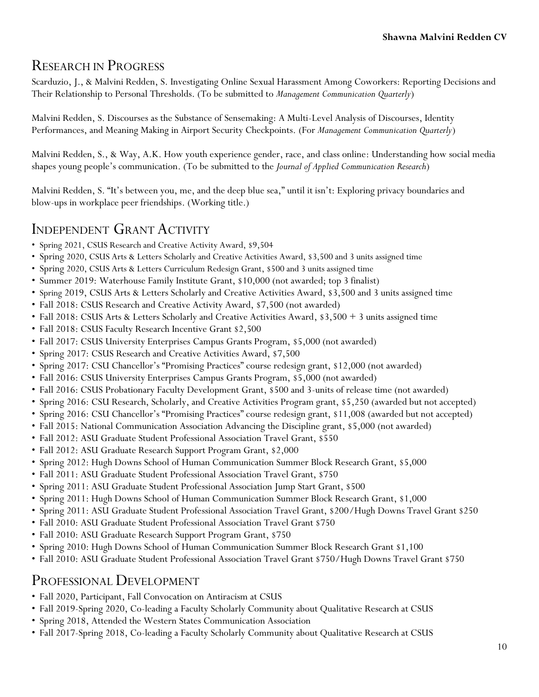## RESEARCH IN PROGRESS

Scarduzio, J., & Malvini Redden, S. Investigating Online Sexual Harassment Among Coworkers: Reporting Decisions and Their Relationship to Personal Thresholds. (To be submitted to *Management Communication Quarterly*)

Malvini Redden, S. Discourses as the Substance of Sensemaking: A Multi-Level Analysis of Discourses, Identity Performances, and Meaning Making in Airport Security Checkpoints. (For *Management Communication Quarterly*)

Malvini Redden, S., & Way, A.K. How youth experience gender, race, and class online: Understanding how social media shapes young people's communication. (To be submitted to the *Journal of Applied Communication Research*)

Malvini Redden, S. "It's between you, me, and the deep blue sea," until it isn't: Exploring privacy boundaries and blow-ups in workplace peer friendships. (Working title.)

## INDEPENDENT GRANT ACTIVITY

- Spring 2021, CSUS Research and Creative Activity Award, \$9,504
- Spring 2020, CSUS Arts & Letters Scholarly and Creative Activities Award, \$3,500 and 3 units assigned time
- Spring 2020, CSUS Arts & Letters Curriculum Redesign Grant, \$500 and 3 units assigned time
- Summer 2019: Waterhouse Family Institute Grant, \$10,000 (not awarded; top 3 finalist)
- Spring 2019, CSUS Arts & Letters Scholarly and Creative Activities Award, \$3,500 and 3 units assigned time
- Fall 2018: CSUS Research and Creative Activity Award, \$7,500 (not awarded)
- Fall 2018: CSUS Arts & Letters Scholarly and Creative Activities Award, \$3,500 + 3 units assigned time
- Fall 2018: CSUS Faculty Research Incentive Grant \$2,500
- Fall 2017: CSUS University Enterprises Campus Grants Program, \$5,000 (not awarded)
- Spring 2017: CSUS Research and Creative Activities Award, \$7,500
- Spring 2017: CSU Chancellor's "Promising Practices" course redesign grant, \$12,000 (not awarded)
- Fall 2016: CSUS University Enterprises Campus Grants Program, \$5,000 (not awarded)
- Fall 2016: CSUS Probationary Faculty Development Grant, \$500 and 3-units of release time (not awarded)
- Spring 2016: CSU Research, Scholarly, and Creative Activities Program grant, \$5,250 (awarded but not accepted)
- Spring 2016: CSU Chancellor's "Promising Practices" course redesign grant, \$11,008 (awarded but not accepted)
- Fall 2015: National Communication Association Advancing the Discipline grant, \$5,000 (not awarded)
- Fall 2012: ASU Graduate Student Professional Association Travel Grant, \$550
- Fall 2012: ASU Graduate Research Support Program Grant, \$2,000
- Spring 2012: Hugh Downs School of Human Communication Summer Block Research Grant, \$5,000
- Fall 2011: ASU Graduate Student Professional Association Travel Grant, \$750
- Spring 2011: ASU Graduate Student Professional Association Jump Start Grant, \$500
- Spring 2011: Hugh Downs School of Human Communication Summer Block Research Grant, \$1,000
- Spring 2011: ASU Graduate Student Professional Association Travel Grant, \$200/Hugh Downs Travel Grant \$250
- Fall 2010: ASU Graduate Student Professional Association Travel Grant \$750
- Fall 2010: ASU Graduate Research Support Program Grant, \$750
- Spring 2010: Hugh Downs School of Human Communication Summer Block Research Grant \$1,100
- Fall 2010: ASU Graduate Student Professional Association Travel Grant \$750/Hugh Downs Travel Grant \$750

### PROFESSIONAL DEVELOPMENT

- Fall 2020, Participant, Fall Convocation on Antiracism at CSUS
- Fall 2019-Spring 2020, Co-leading a Faculty Scholarly Community about Qualitative Research at CSUS
- Spring 2018, Attended the Western States Communication Association
- Fall 2017-Spring 2018, Co-leading a Faculty Scholarly Community about Qualitative Research at CSUS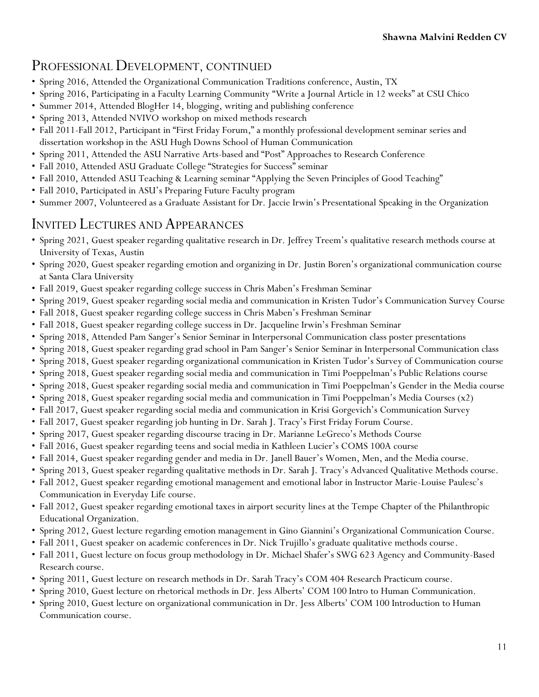## PROFESSIONAL DEVELOPMENT, CONTINUED

- Spring 2016, Attended the Organizational Communication Traditions conference, Austin, TX
- Spring 2016, Participating in a Faculty Learning Community "Write a Journal Article in 12 weeks" at CSU Chico
- Summer 2014, Attended BlogHer 14, blogging, writing and publishing conference
- Spring 2013, Attended NVIVO workshop on mixed methods research
- Fall 2011-Fall 2012, Participant in "First Friday Forum," a monthly professional development seminar series and dissertation workshop in the ASU Hugh Downs School of Human Communication
- Spring 2011, Attended the ASU Narrative Arts-based and "Post" Approaches to Research Conference
- Fall 2010, Attended ASU Graduate College "Strategies for Success" seminar
- Fall 2010, Attended ASU Teaching & Learning seminar "Applying the Seven Principles of Good Teaching"
- Fall 2010, Participated in ASU's Preparing Future Faculty program
- Summer 2007, Volunteered as a Graduate Assistant for Dr. Jaccie Irwin's Presentational Speaking in the Organization

## INVITED LECTURES AND APPEARANCES

- Spring 2021, Guest speaker regarding qualitative research in Dr. Jeffrey Treem's qualitative research methods course at University of Texas, Austin
- Spring 2020, Guest speaker regarding emotion and organizing in Dr. Justin Boren's organizational communication course at Santa Clara University
- Fall 2019, Guest speaker regarding college success in Chris Maben's Freshman Seminar
- Spring 2019, Guest speaker regarding social media and communication in Kristen Tudor's Communication Survey Course
- Fall 2018, Guest speaker regarding college success in Chris Maben's Freshman Seminar
- Fall 2018, Guest speaker regarding college success in Dr. Jacqueline Irwin's Freshman Seminar
- Spring 2018, Attended Pam Sanger's Senior Seminar in Interpersonal Communication class poster presentations
- Spring 2018, Guest speaker regarding grad school in Pam Sanger's Senior Seminar in Interpersonal Communication class
- Spring 2018, Guest speaker regarding organizational communication in Kristen Tudor's Survey of Communication course
- Spring 2018, Guest speaker regarding social media and communication in Timi Poeppelman's Public Relations course
- Spring 2018, Guest speaker regarding social media and communication in Timi Poeppelman's Gender in the Media course
- Spring 2018, Guest speaker regarding social media and communication in Timi Poeppelman's Media Courses (x2)
- Fall 2017, Guest speaker regarding social media and communication in Krisi Gorgevich's Communication Survey
- Fall 2017, Guest speaker regarding job hunting in Dr. Sarah J. Tracy's First Friday Forum Course.
- Spring 2017, Guest speaker regarding discourse tracing in Dr. Marianne LeGreco's Methods Course
- Fall 2016, Guest speaker regarding teens and social media in Kathleen Lucier's COMS 100A course
- Fall 2014, Guest speaker regarding gender and media in Dr. Janell Bauer's Women, Men, and the Media course.
- Spring 2013, Guest speaker regarding qualitative methods in Dr. Sarah J. Tracy's Advanced Qualitative Methods course.
- Fall 2012, Guest speaker regarding emotional management and emotional labor in Instructor Marie-Louise Paulesc's Communication in Everyday Life course.
- Fall 2012, Guest speaker regarding emotional taxes in airport security lines at the Tempe Chapter of the Philanthropic Educational Organization.
- Spring 2012, Guest lecture regarding emotion management in Gino Giannini's Organizational Communication Course.
- Fall 2011, Guest speaker on academic conferences in Dr. Nick Trujillo's graduate qualitative methods course.
- Fall 2011, Guest lecture on focus group methodology in Dr. Michael Shafer's SWG 623 Agency and Community-Based Research course.
- Spring 2011, Guest lecture on research methods in Dr. Sarah Tracy's COM 404 Research Practicum course.
- Spring 2010, Guest lecture on rhetorical methods in Dr. Jess Alberts' COM 100 Intro to Human Communication.
- Spring 2010, Guest lecture on organizational communication in Dr. Jess Alberts' COM 100 Introduction to Human Communication course.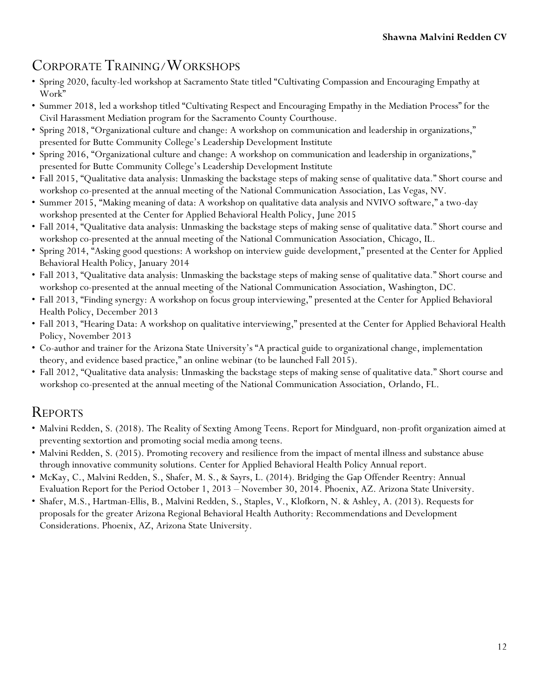# CORPORATE TRAINING/WORKSHOPS

- Spring 2020, faculty-led workshop at Sacramento State titled "Cultivating Compassion and Encouraging Empathy at Work"
- Summer 2018, led a workshop titled "Cultivating Respect and Encouraging Empathy in the Mediation Process" for the Civil Harassment Mediation program for the Sacramento County Courthouse.
- Spring 2018, "Organizational culture and change: A workshop on communication and leadership in organizations," presented for Butte Community College's Leadership Development Institute
- Spring 2016, "Organizational culture and change: A workshop on communication and leadership in organizations," presented for Butte Community College's Leadership Development Institute
- Fall 2015, "Qualitative data analysis: Unmasking the backstage steps of making sense of qualitative data*.*" Short course and workshop co-presented at the annual meeting of the National Communication Association, Las Vegas, NV.
- Summer 2015, "Making meaning of data: A workshop on qualitative data analysis and NVIVO software," a two-day workshop presented at the Center for Applied Behavioral Health Policy, June 2015
- Fall 2014, "Qualitative data analysis: Unmasking the backstage steps of making sense of qualitative data*.*" Short course and workshop co-presented at the annual meeting of the National Communication Association, Chicago, IL.
- Spring 2014, "Asking good questions: A workshop on interview guide development," presented at the Center for Applied Behavioral Health Policy, January 2014
- Fall 2013, "Qualitative data analysis: Unmasking the backstage steps of making sense of qualitative data*.*" Short course and workshop co-presented at the annual meeting of the National Communication Association, Washington, DC.
- Fall 2013, "Finding synergy: A workshop on focus group interviewing," presented at the Center for Applied Behavioral Health Policy, December 2013
- Fall 2013, "Hearing Data: A workshop on qualitative interviewing," presented at the Center for Applied Behavioral Health Policy, November 2013
- Co-author and trainer for the Arizona State University's "A practical guide to organizational change, implementation theory, and evidence based practice," an online webinar (to be launched Fall 2015).
- Fall 2012, "Qualitative data analysis: Unmasking the backstage steps of making sense of qualitative data." Short course and workshop co-presented at the annual meeting of the National Communication Association, Orlando, FL.

# REPORTS

- Malvini Redden, S. (2018). The Reality of Sexting Among Teens. Report for Mindguard, non-profit organization aimed at preventing sextortion and promoting social media among teens.
- Malvini Redden, S. (2015). Promoting recovery and resilience from the impact of mental illness and substance abuse through innovative community solutions. Center for Applied Behavioral Health Policy Annual report.
- McKay, C., Malvini Redden, S., Shafer, M. S., & Sayrs, L. (2014). Bridging the Gap Offender Reentry: Annual Evaluation Report for the Period October 1, 2013 – November 30, 2014. Phoenix, AZ. Arizona State University.
- Shafer, M.S., Hartman-Ellis, B., Malvini Redden, S., Staples, V., Klofkorn, N. & Ashley, A. (2013). Requests for proposals for the greater Arizona Regional Behavioral Health Authority: Recommendations and Development Considerations. Phoenix, AZ, Arizona State University.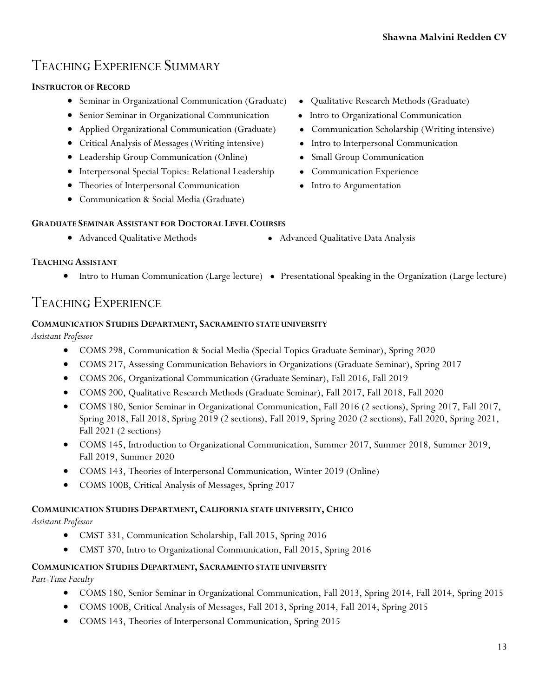## TEACHING EXPERIENCE SUMMARY

#### **INSTRUCTOR OF RECORD**

- Seminar in Organizational Communication (Graduate) Qualitative Research Methods (Graduate)
- Senior Seminar in Organizational Communication Intro to Organizational Communication
- Applied Organizational Communication (Graduate) Communication Scholarship (Writing intensive)
- Critical Analysis of Messages (Writing intensive) Intro to Interpersonal Communication
- Leadership Group Communication (Online) Small Group Communication
- Interpersonal Special Topics: Relational Leadership Communication Experience
- Theories of Interpersonal Communication Intro to Argumentation
- Communication & Social Media (Graduate)

#### **GRADUATE SEMINAR ASSISTANT FOR DOCTORAL LEVEL COURSES**

- 
- Advanced Qualitative Methods Advanced Qualitative Data Analysis

#### **TEACHING ASSISTANT**

● Intro to Human Communication (Large lecture) ● Presentational Speaking in the Organization (Large lecture)

### TEACHING EXPERIENCE

#### **COMMUNICATION STUDIES DEPARTMENT, SACRAMENTO STATE UNIVERSITY**

#### *Assistant Professor*

- COMS 298, Communication & Social Media (Special Topics Graduate Seminar), Spring 2020
- COMS 217, Assessing Communication Behaviors in Organizations (Graduate Seminar), Spring 2017
- COMS 206, Organizational Communication (Graduate Seminar), Fall 2016, Fall 2019
- COMS 200, Qualitative Research Methods (Graduate Seminar), Fall 2017, Fall 2018, Fall 2020
- COMS 180, Senior Seminar in Organizational Communication, Fall 2016 (2 sections), Spring 2017, Fall 2017, Spring 2018, Fall 2018, Spring 2019 (2 sections), Fall 2019, Spring 2020 (2 sections), Fall 2020, Spring 2021, Fall 2021 (2 sections)
- COMS 145, Introduction to Organizational Communication, Summer 2017, Summer 2018, Summer 2019, Fall 2019, Summer 2020
- COMS 143, Theories of Interpersonal Communication, Winter 2019 (Online)
- COMS 100B, Critical Analysis of Messages, Spring 2017

#### **COMMUNICATION STUDIES DEPARTMENT, CALIFORNIA STATE UNIVERSITY, CHICO**

*Assistant Professor*

- CMST 331, Communication Scholarship, Fall 2015, Spring 2016
- CMST 370, Intro to Organizational Communication, Fall 2015, Spring 2016

#### **COMMUNICATION STUDIES DEPARTMENT, SACRAMENTO STATE UNIVERSITY**

*Part-Time Faculty*

- COMS 180, Senior Seminar in Organizational Communication, Fall 2013, Spring 2014, Fall 2014, Spring 2015
- COMS 100B, Critical Analysis of Messages, Fall 2013, Spring 2014, Fall 2014, Spring 2015
- COMS 143, Theories of Interpersonal Communication, Spring 2015
- 
- 
- 
- 
- 
- 
-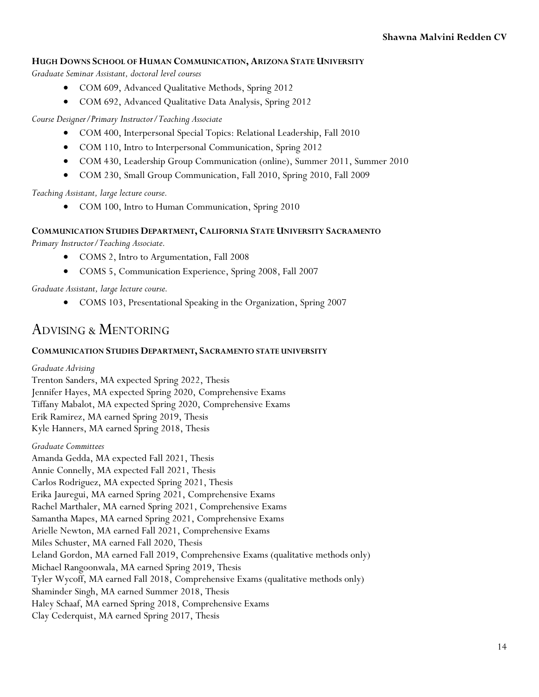#### **HUGH DOWNS SCHOOL OF HUMAN COMMUNICATION, ARIZONA STATE UNIVERSITY**

*Graduate Seminar Assistant, doctoral level courses*

- COM 609, Advanced Qualitative Methods, Spring 2012
- COM 692, Advanced Qualitative Data Analysis, Spring 2012

*Course Designer/Primary Instructor/Teaching Associate*

- COM 400, Interpersonal Special Topics: Relational Leadership, Fall 2010
- COM 110, Intro to Interpersonal Communication, Spring 2012
- COM 430, Leadership Group Communication (online), Summer 2011, Summer 2010
- COM 230, Small Group Communication, Fall 2010, Spring 2010, Fall 2009

*Teaching Assistant, large lecture course.* 

COM 100, Intro to Human Communication, Spring 2010

#### **COMMUNICATION STUDIES DEPARTMENT, CALIFORNIA STATE UNIVERSITY SACRAMENTO**

*Primary Instructor/Teaching Associate.* 

- COMS 2, Intro to Argumentation, Fall 2008
- COMS 5, Communication Experience, Spring 2008, Fall 2007

*Graduate Assistant, large lecture course.* 

COMS 103, Presentational Speaking in the Organization, Spring 2007

### ADVISING & MENTORING

#### **COMMUNICATION STUDIES DEPARTMENT, SACRAMENTO STATE UNIVERSITY**

*Graduate Advising*

Trenton Sanders, MA expected Spring 2022, Thesis Jennifer Hayes, MA expected Spring 2020, Comprehensive Exams Tiffany Mabalot, MA expected Spring 2020, Comprehensive Exams Erik Ramirez, MA earned Spring 2019, Thesis Kyle Hanners, MA earned Spring 2018, Thesis

#### *Graduate Committees*

Amanda Gedda, MA expected Fall 2021, Thesis Annie Connelly, MA expected Fall 2021, Thesis Carlos Rodriguez, MA expected Spring 2021, Thesis Erika Jauregui, MA earned Spring 2021, Comprehensive Exams Rachel Marthaler, MA earned Spring 2021, Comprehensive Exams Samantha Mapes, MA earned Spring 2021, Comprehensive Exams Arielle Newton, MA earned Fall 2021, Comprehensive Exams Miles Schuster, MA earned Fall 2020, Thesis Leland Gordon, MA earned Fall 2019, Comprehensive Exams (qualitative methods only) Michael Rangoonwala, MA earned Spring 2019, Thesis Tyler Wycoff, MA earned Fall 2018, Comprehensive Exams (qualitative methods only) Shaminder Singh, MA earned Summer 2018, Thesis Haley Schaaf, MA earned Spring 2018, Comprehensive Exams Clay Cederquist, MA earned Spring 2017, Thesis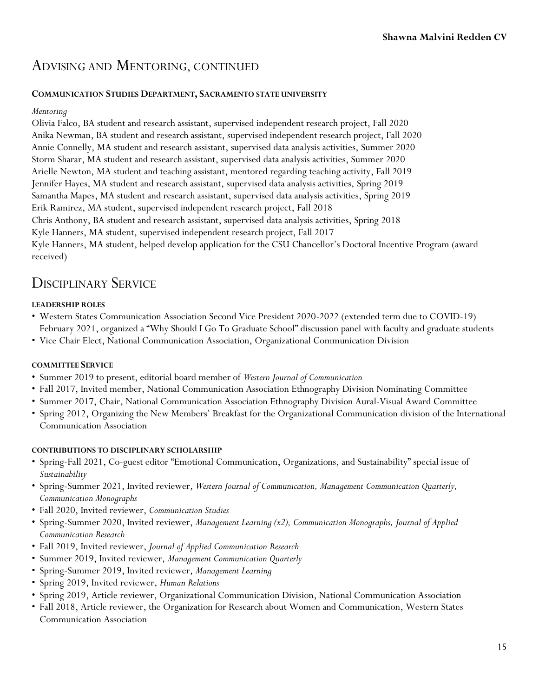## ADVISING AND MENTORING, CONTINUED

#### **COMMUNICATION STUDIES DEPARTMENT, SACRAMENTO STATE UNIVERSITY**

#### *Mentoring*

Olivia Falco, BA student and research assistant, supervised independent research project, Fall 2020 Anika Newman, BA student and research assistant, supervised independent research project, Fall 2020 Annie Connelly, MA student and research assistant, supervised data analysis activities, Summer 2020 Storm Sharar, MA student and research assistant, supervised data analysis activities, Summer 2020 Arielle Newton, MA student and teaching assistant, mentored regarding teaching activity, Fall 2019 Jennifer Hayes, MA student and research assistant, supervised data analysis activities, Spring 2019 Samantha Mapes, MA student and research assistant, supervised data analysis activities, Spring 2019 Erik Ramirez, MA student, supervised independent research project, Fall 2018 Chris Anthony, BA student and research assistant, supervised data analysis activities, Spring 2018 Kyle Hanners, MA student, supervised independent research project, Fall 2017 Kyle Hanners, MA student, helped develop application for the CSU Chancellor's Doctoral Incentive Program (award received)

### DISCIPLINARY SERVICE

#### **LEADERSHIP ROLES**

- Western States Communication Association Second Vice President 2020-2022 (extended term due to COVID-19) February 2021, organized a "Why Should I Go To Graduate School" discussion panel with faculty and graduate students
- Vice Chair Elect, National Communication Association, Organizational Communication Division

#### **COMMITTEE SERVICE**

- Summer 2019 to present, editorial board member of *Western Journal of Communication*
- Fall 2017, Invited member, National Communication Association Ethnography Division Nominating Committee
- Summer 2017, Chair, National Communication Association Ethnography Division Aural-Visual Award Committee
- Spring 2012, Organizing the New Members' Breakfast for the Organizational Communication division of the International Communication Association

#### **CONTRIBUTIONS TO DISCIPLINARY SCHOLARSHIP**

- Spring-Fall 2021, Co-guest editor "Emotional Communication, Organizations, and Sustainability" special issue of *Sustainability*
- Spring-Summer 2021, Invited reviewer, *Western Journal of Communication, Management Communication Quarterly, Communication Monographs*
- Fall 2020, Invited reviewer, *Communication Studies*
- Spring-Summer 2020, Invited reviewer, *Management Learning (x2), Communication Monographs, Journal of Applied Communication Research*
- Fall 2019, Invited reviewer, *Journal of Applied Communication Research*
- Summer 2019, Invited reviewer, *Management Communication Quarterly*
- Spring-Summer 2019, Invited reviewer, *Management Learning*
- Spring 2019, Invited reviewer, *Human Relations*
- Spring 2019, Article reviewer, Organizational Communication Division, National Communication Association
- Fall 2018, Article reviewer, the Organization for Research about Women and Communication, Western States Communication Association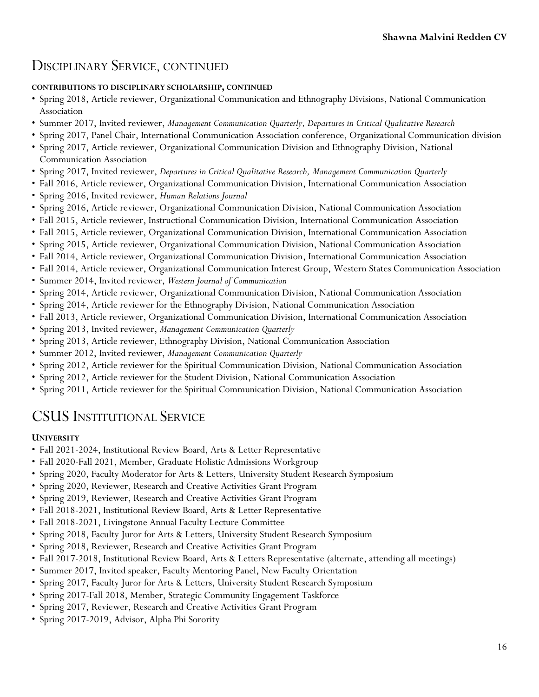## DISCIPLINARY SERVICE, CONTINUED

#### **CONTRIBUTIONS TO DISCIPLINARY SCHOLARSHIP, CONTINUED**

- Spring 2018, Article reviewer, Organizational Communication and Ethnography Divisions, National Communication Association
- Summer 2017, Invited reviewer, *Management Communication Quarterly, Departures in Critical Qualitative Research*
- Spring 2017, Panel Chair, International Communication Association conference, Organizational Communication division
- Spring 2017, Article reviewer, Organizational Communication Division and Ethnography Division, National Communication Association
- Spring 2017, Invited reviewer, *Departures in Critical Qualitative Research, Management Communication Quarterly*
- Fall 2016, Article reviewer, Organizational Communication Division, International Communication Association
- Spring 2016, Invited reviewer, *Human Relations Journal*
- Spring 2016, Article reviewer, Organizational Communication Division, National Communication Association
- Fall 2015, Article reviewer, Instructional Communication Division, International Communication Association
- Fall 2015, Article reviewer, Organizational Communication Division, International Communication Association
- Spring 2015, Article reviewer, Organizational Communication Division, National Communication Association
- Fall 2014, Article reviewer, Organizational Communication Division, International Communication Association
- Fall 2014, Article reviewer, Organizational Communication Interest Group, Western States Communication Association
- Summer 2014, Invited reviewer, *Western Journal of Communication*
- Spring 2014, Article reviewer, Organizational Communication Division, National Communication Association
- Spring 2014, Article reviewer for the Ethnography Division, National Communication Association
- Fall 2013, Article reviewer, Organizational Communication Division, International Communication Association
- Spring 2013, Invited reviewer, *Management Communication Quarterly*
- Spring 2013, Article reviewer, Ethnography Division, National Communication Association
- Summer 2012, Invited reviewer, *Management Communication Quarterly*
- Spring 2012, Article reviewer for the Spiritual Communication Division, National Communication Association
- Spring 2012, Article reviewer for the Student Division, National Communication Association
- Spring 2011, Article reviewer for the Spiritual Communication Division, National Communication Association

# CSUS INSTITUTIONAL SERVICE

#### **UNIVERSITY**

- Fall 2021-2024, Institutional Review Board, Arts & Letter Representative
- Fall 2020-Fall 2021, Member, Graduate Holistic Admissions Workgroup
- Spring 2020, Faculty Moderator for Arts & Letters, University Student Research Symposium
- Spring 2020, Reviewer, Research and Creative Activities Grant Program
- Spring 2019, Reviewer, Research and Creative Activities Grant Program
- Fall 2018-2021, Institutional Review Board, Arts & Letter Representative
- Fall 2018-2021, Livingstone Annual Faculty Lecture Committee
- Spring 2018, Faculty Juror for Arts & Letters, University Student Research Symposium
- Spring 2018, Reviewer, Research and Creative Activities Grant Program
- Fall 2017-2018, Institutional Review Board, Arts & Letters Representative (alternate, attending all meetings)
- Summer 2017, Invited speaker, Faculty Mentoring Panel, New Faculty Orientation
- Spring 2017, Faculty Juror for Arts & Letters, University Student Research Symposium
- Spring 2017-Fall 2018, Member, Strategic Community Engagement Taskforce
- Spring 2017, Reviewer, Research and Creative Activities Grant Program
- Spring 2017-2019, Advisor, Alpha Phi Sorority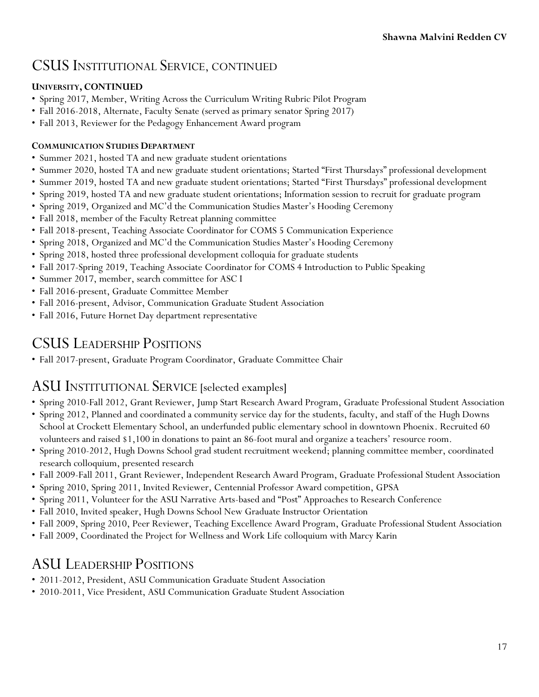## CSUS INSTITUTIONAL SERVICE, CONTINUED

### **UNIVERSITY, CONTINUED**

- Spring 2017, Member, Writing Across the Curriculum Writing Rubric Pilot Program
- Fall 2016-2018, Alternate, Faculty Senate (served as primary senator Spring 2017)
- Fall 2013, Reviewer for the Pedagogy Enhancement Award program

#### **COMMUNICATION STUDIES DEPARTMENT**

- Summer 2021, hosted TA and new graduate student orientations
- Summer 2020, hosted TA and new graduate student orientations; Started "First Thursdays" professional development
- Summer 2019, hosted TA and new graduate student orientations; Started "First Thursdays" professional development
- Spring 2019, hosted TA and new graduate student orientations; Information session to recruit for graduate program
- Spring 2019, Organized and MC'd the Communication Studies Master's Hooding Ceremony
- Fall 2018, member of the Faculty Retreat planning committee
- Fall 2018-present, Teaching Associate Coordinator for COMS 5 Communication Experience
- Spring 2018, Organized and MC'd the Communication Studies Master's Hooding Ceremony
- Spring 2018, hosted three professional development colloquia for graduate students
- Fall 2017-Spring 2019, Teaching Associate Coordinator for COMS 4 Introduction to Public Speaking
- Summer 2017, member, search committee for ASC I
- Fall 2016-present, Graduate Committee Member
- Fall 2016-present, Advisor, Communication Graduate Student Association
- Fall 2016, Future Hornet Day department representative

## CSUS LEADERSHIP POSITIONS

• Fall 2017-present, Graduate Program Coordinator, Graduate Committee Chair

### ASU INSTITUTIONAL SERVICE [selected examples]

- Spring 2010-Fall 2012, Grant Reviewer, Jump Start Research Award Program, Graduate Professional Student Association
- Spring 2012, Planned and coordinated a community service day for the students, faculty, and staff of the Hugh Downs School at Crockett Elementary School, an underfunded public elementary school in downtown Phoenix. Recruited 60 volunteers and raised \$1,100 in donations to paint an 86-foot mural and organize a teachers' resource room.
- Spring 2010-2012, Hugh Downs School grad student recruitment weekend; planning committee member, coordinated research colloquium, presented research
- Fall 2009-Fall 2011, Grant Reviewer, Independent Research Award Program, Graduate Professional Student Association
- Spring 2010, Spring 2011, Invited Reviewer, Centennial Professor Award competition, GPSA
- Spring 2011, Volunteer for the ASU Narrative Arts-based and "Post" Approaches to Research Conference
- Fall 2010, Invited speaker, Hugh Downs School New Graduate Instructor Orientation
- Fall 2009, Spring 2010, Peer Reviewer, Teaching Excellence Award Program, Graduate Professional Student Association
- Fall 2009, Coordinated the Project for Wellness and Work Life colloquium with Marcy Karin

## ASU LEADERSHIP POSITIONS

- 2011-2012, President, ASU Communication Graduate Student Association
- 2010-2011, Vice President, ASU Communication Graduate Student Association